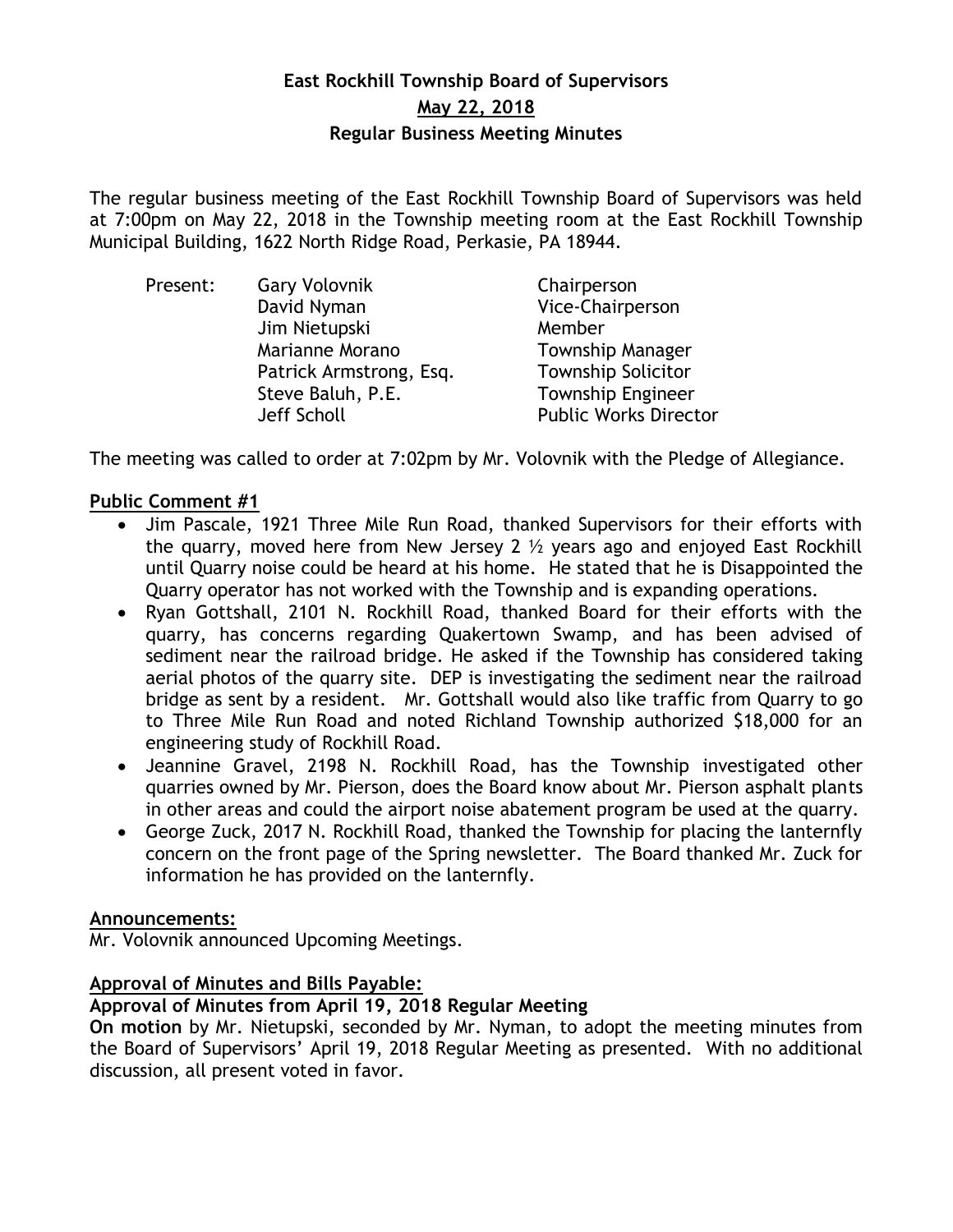## **East Rockhill Township Board of Supervisors May 22, 2018 Regular Business Meeting Minutes**

The regular business meeting of the East Rockhill Township Board of Supervisors was held at 7:00pm on May 22, 2018 in the Township meeting room at the East Rockhill Township Municipal Building, 1622 North Ridge Road, Perkasie, PA 18944.

| Present: | <b>Gary Volovnik</b>    | Chairperson                  |
|----------|-------------------------|------------------------------|
|          | David Nyman             | Vice-Chairperson             |
|          | Jim Nietupski           | Member                       |
|          | Marianne Morano         | <b>Township Manager</b>      |
|          | Patrick Armstrong, Esq. | <b>Township Solicitor</b>    |
|          | Steve Baluh, P.E.       | <b>Township Engineer</b>     |
|          | Jeff Scholl             | <b>Public Works Director</b> |

The meeting was called to order at 7:02pm by Mr. Volovnik with the Pledge of Allegiance.

## **Public Comment #1**

- Jim Pascale, 1921 Three Mile Run Road, thanked Supervisors for their efforts with the quarry, moved here from New Jersey 2  $\frac{1}{2}$  years ago and enjoyed East Rockhill until Quarry noise could be heard at his home. He stated that he is Disappointed the Quarry operator has not worked with the Township and is expanding operations.
- Ryan Gottshall, 2101 N. Rockhill Road, thanked Board for their efforts with the quarry, has concerns regarding Quakertown Swamp, and has been advised of sediment near the railroad bridge. He asked if the Township has considered taking aerial photos of the quarry site. DEP is investigating the sediment near the railroad bridge as sent by a resident. Mr. Gottshall would also like traffic from Quarry to go to Three Mile Run Road and noted Richland Township authorized \$18,000 for an engineering study of Rockhill Road.
- Jeannine Gravel, 2198 N. Rockhill Road, has the Township investigated other quarries owned by Mr. Pierson, does the Board know about Mr. Pierson asphalt plants in other areas and could the airport noise abatement program be used at the quarry.
- George Zuck, 2017 N. Rockhill Road, thanked the Township for placing the lanternfly concern on the front page of the Spring newsletter. The Board thanked Mr. Zuck for information he has provided on the lanternfly.

## **Announcements:**

Mr. Volovnik announced Upcoming Meetings.

## **Approval of Minutes and Bills Payable:**

## **Approval of Minutes from April 19, 2018 Regular Meeting**

**On motion** by Mr. Nietupski, seconded by Mr. Nyman, to adopt the meeting minutes from the Board of Supervisors' April 19, 2018 Regular Meeting as presented. With no additional discussion, all present voted in favor.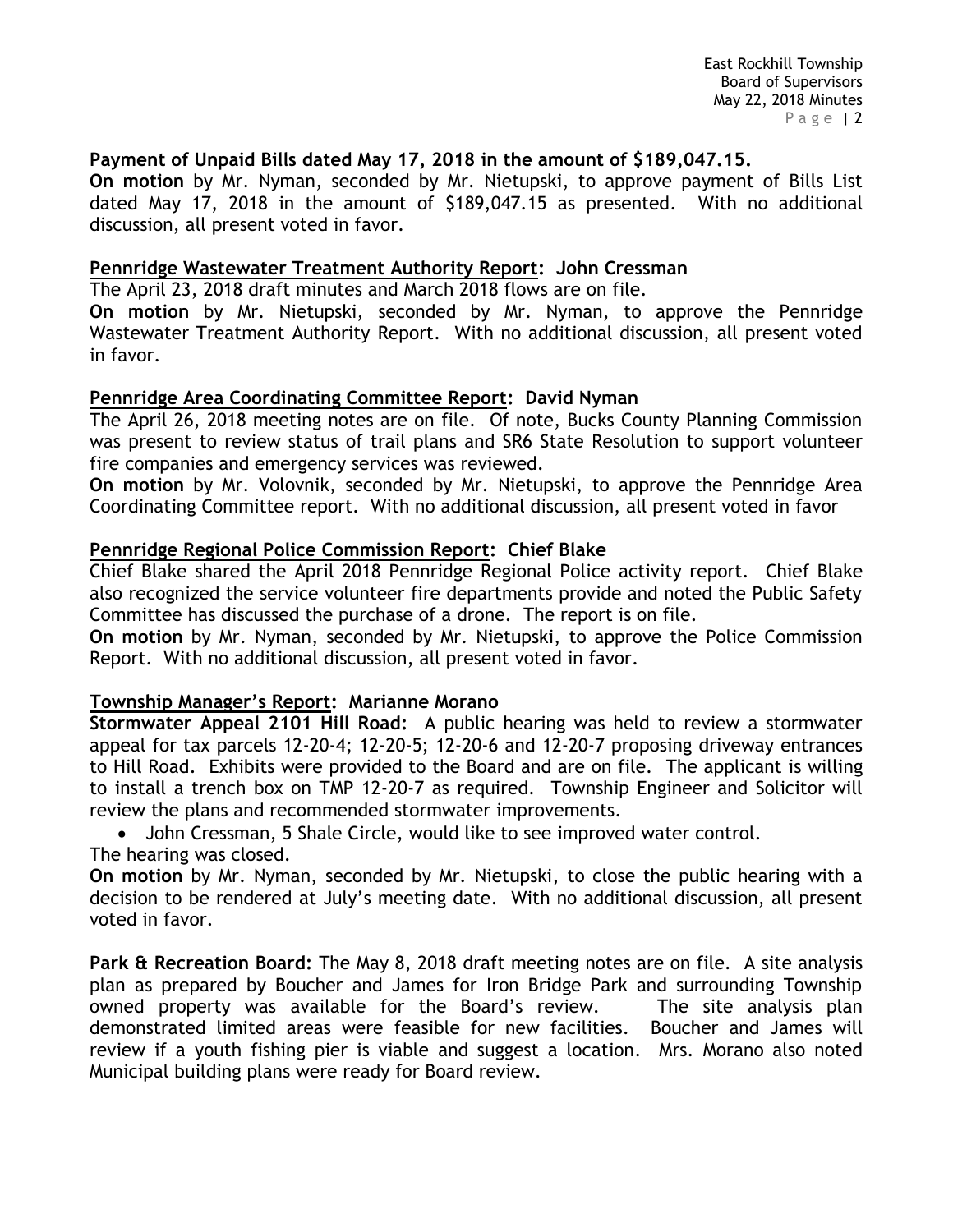### **Payment of Unpaid Bills dated May 17, 2018 in the amount of \$189,047.15.**

**On motion** by Mr. Nyman, seconded by Mr. Nietupski, to approve payment of Bills List dated May 17, 2018 in the amount of \$189,047.15 as presented. With no additional discussion, all present voted in favor.

#### **Pennridge Wastewater Treatment Authority Report: John Cressman**

The April 23, 2018 draft minutes and March 2018 flows are on file.

**On motion** by Mr. Nietupski, seconded by Mr. Nyman, to approve the Pennridge Wastewater Treatment Authority Report. With no additional discussion, all present voted in favor.

#### **Pennridge Area Coordinating Committee Report: David Nyman**

The April 26, 2018 meeting notes are on file. Of note, Bucks County Planning Commission was present to review status of trail plans and SR6 State Resolution to support volunteer fire companies and emergency services was reviewed.

**On motion** by Mr. Volovnik, seconded by Mr. Nietupski, to approve the Pennridge Area Coordinating Committee report. With no additional discussion, all present voted in favor

#### **Pennridge Regional Police Commission Report: Chief Blake**

Chief Blake shared the April 2018 Pennridge Regional Police activity report. Chief Blake also recognized the service volunteer fire departments provide and noted the Public Safety Committee has discussed the purchase of a drone. The report is on file.

**On motion** by Mr. Nyman, seconded by Mr. Nietupski, to approve the Police Commission Report. With no additional discussion, all present voted in favor.

#### **Township Manager's Report: Marianne Morano**

**Stormwater Appeal 2101 Hill Road:** A public hearing was held to review a stormwater appeal for tax parcels 12-20-4; 12-20-5; 12-20-6 and 12-20-7 proposing driveway entrances to Hill Road. Exhibits were provided to the Board and are on file. The applicant is willing to install a trench box on TMP 12-20-7 as required. Township Engineer and Solicitor will review the plans and recommended stormwater improvements.

John Cressman, 5 Shale Circle, would like to see improved water control.

The hearing was closed.

**On motion** by Mr. Nyman, seconded by Mr. Nietupski, to close the public hearing with a decision to be rendered at July's meeting date. With no additional discussion, all present voted in favor.

**Park & Recreation Board:** The May 8, 2018 draft meeting notes are on file. A site analysis plan as prepared by Boucher and James for Iron Bridge Park and surrounding Township owned property was available for the Board's review. The site analysis plan demonstrated limited areas were feasible for new facilities. Boucher and James will review if a youth fishing pier is viable and suggest a location. Mrs. Morano also noted Municipal building plans were ready for Board review.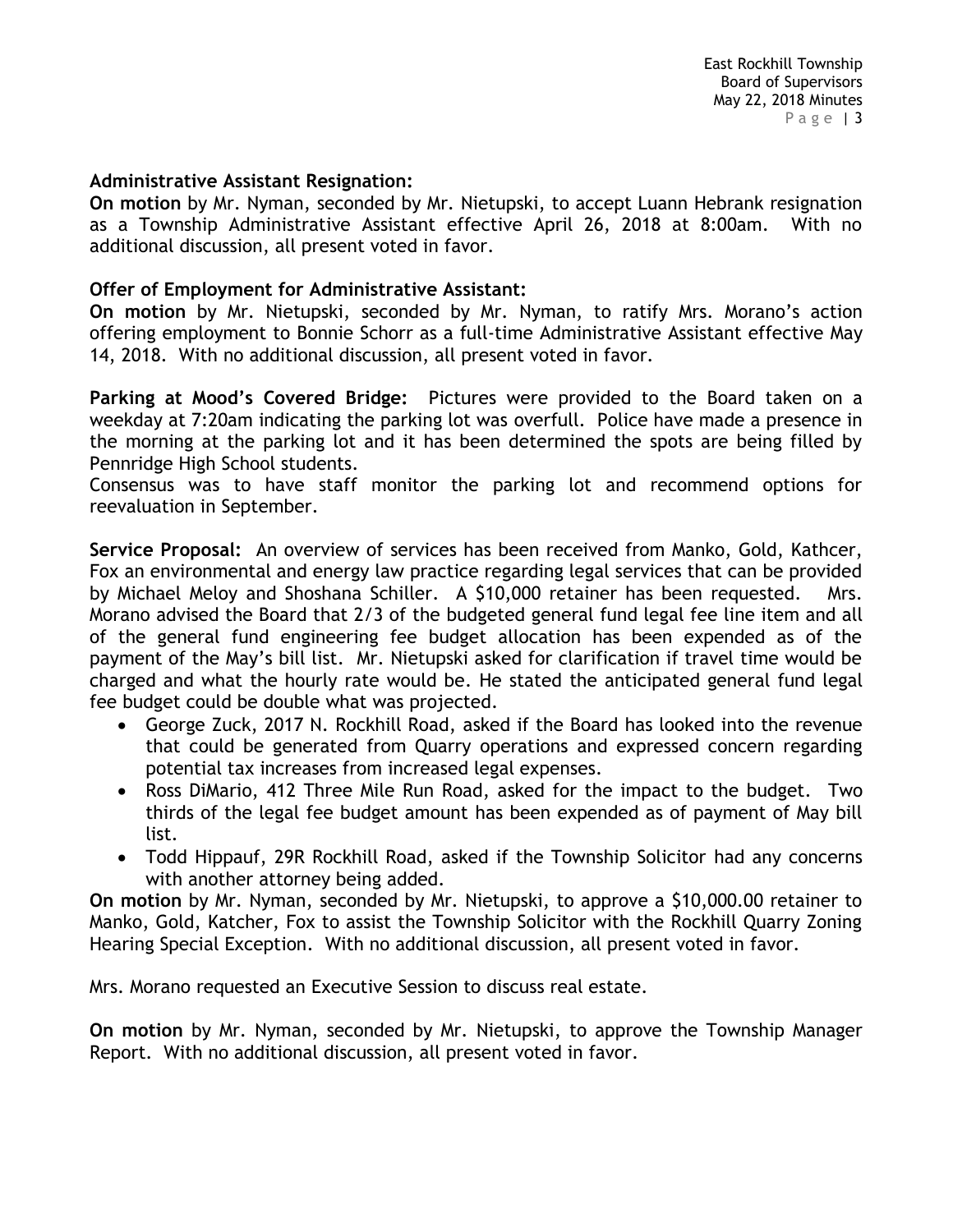#### **Administrative Assistant Resignation:**

**On motion** by Mr. Nyman, seconded by Mr. Nietupski, to accept Luann Hebrank resignation as a Township Administrative Assistant effective April 26, 2018 at 8:00am. With no additional discussion, all present voted in favor.

### **Offer of Employment for Administrative Assistant:**

**On motion** by Mr. Nietupski, seconded by Mr. Nyman, to ratify Mrs. Morano's action offering employment to Bonnie Schorr as a full-time Administrative Assistant effective May 14, 2018. With no additional discussion, all present voted in favor.

**Parking at Mood's Covered Bridge:** Pictures were provided to the Board taken on a weekday at 7:20am indicating the parking lot was overfull. Police have made a presence in the morning at the parking lot and it has been determined the spots are being filled by Pennridge High School students.

Consensus was to have staff monitor the parking lot and recommend options for reevaluation in September.

**Service Proposal:** An overview of services has been received from Manko, Gold, Kathcer, Fox an environmental and energy law practice regarding legal services that can be provided by Michael Meloy and Shoshana Schiller. A \$10,000 retainer has been requested. Mrs. Morano advised the Board that 2/3 of the budgeted general fund legal fee line item and all of the general fund engineering fee budget allocation has been expended as of the payment of the May's bill list. Mr. Nietupski asked for clarification if travel time would be charged and what the hourly rate would be. He stated the anticipated general fund legal fee budget could be double what was projected.

- George Zuck, 2017 N. Rockhill Road, asked if the Board has looked into the revenue that could be generated from Quarry operations and expressed concern regarding potential tax increases from increased legal expenses.
- Ross DiMario, 412 Three Mile Run Road, asked for the impact to the budget. Two thirds of the legal fee budget amount has been expended as of payment of May bill list.
- Todd Hippauf, 29R Rockhill Road, asked if the Township Solicitor had any concerns with another attorney being added.

**On motion** by Mr. Nyman, seconded by Mr. Nietupski, to approve a \$10,000.00 retainer to Manko, Gold, Katcher, Fox to assist the Township Solicitor with the Rockhill Quarry Zoning Hearing Special Exception. With no additional discussion, all present voted in favor.

Mrs. Morano requested an Executive Session to discuss real estate.

**On motion** by Mr. Nyman, seconded by Mr. Nietupski, to approve the Township Manager Report. With no additional discussion, all present voted in favor.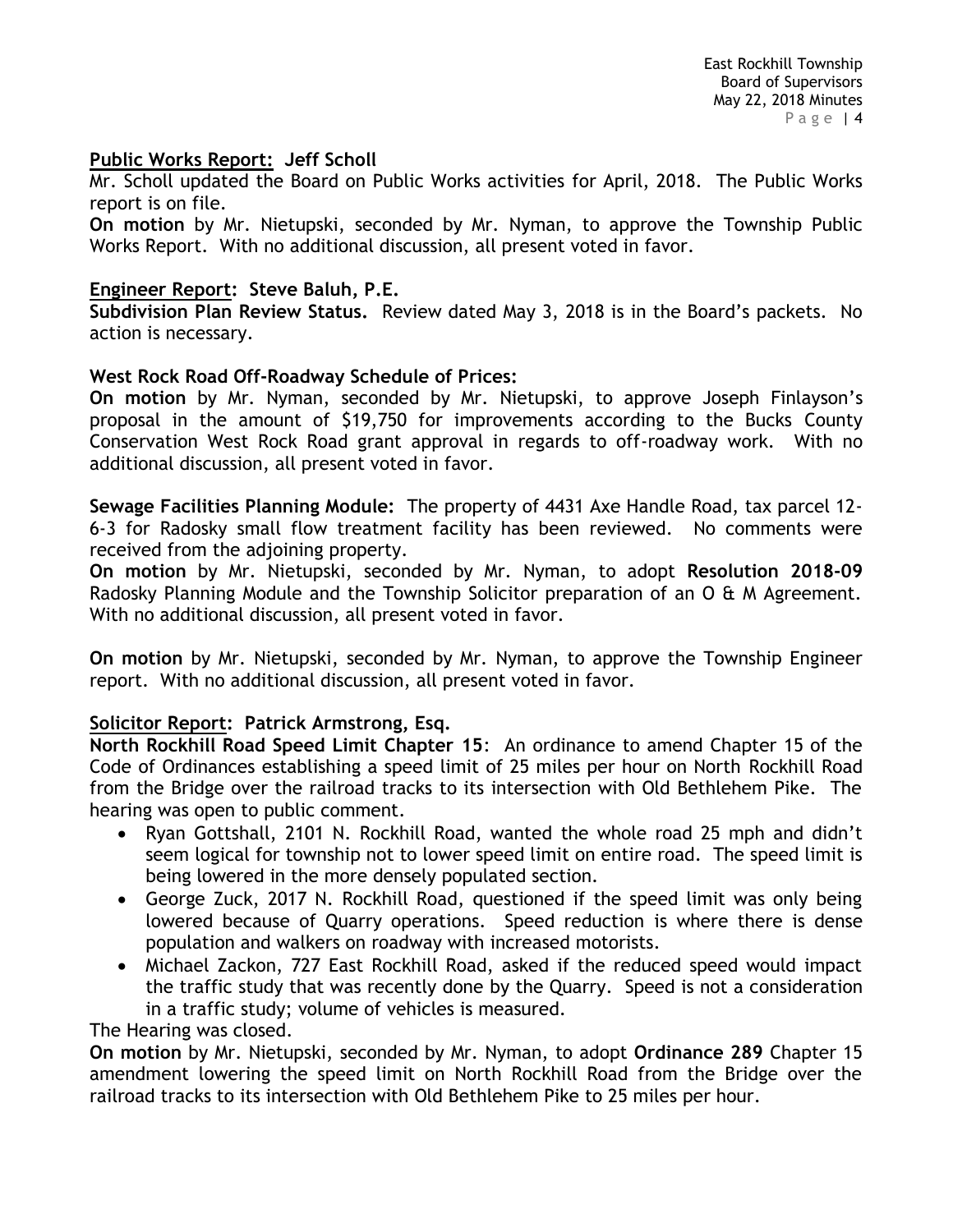## **Public Works Report: Jeff Scholl**

Mr. Scholl updated the Board on Public Works activities for April, 2018. The Public Works report is on file.

**On motion** by Mr. Nietupski, seconded by Mr. Nyman, to approve the Township Public Works Report. With no additional discussion, all present voted in favor.

## **Engineer Report: Steve Baluh, P.E.**

**Subdivision Plan Review Status.** Review dated May 3, 2018 is in the Board's packets. No action is necessary.

## **West Rock Road Off-Roadway Schedule of Prices:**

**On motion** by Mr. Nyman, seconded by Mr. Nietupski, to approve Joseph Finlayson's proposal in the amount of \$19,750 for improvements according to the Bucks County Conservation West Rock Road grant approval in regards to off-roadway work. With no additional discussion, all present voted in favor.

**Sewage Facilities Planning Module:** The property of 4431 Axe Handle Road, tax parcel 12- 6-3 for Radosky small flow treatment facility has been reviewed. No comments were received from the adjoining property.

**On motion** by Mr. Nietupski, seconded by Mr. Nyman, to adopt **Resolution 2018-09** Radosky Planning Module and the Township Solicitor preparation of an O & M Agreement. With no additional discussion, all present voted in favor.

**On motion** by Mr. Nietupski, seconded by Mr. Nyman, to approve the Township Engineer report. With no additional discussion, all present voted in favor.

## **Solicitor Report: Patrick Armstrong, Esq.**

**North Rockhill Road Speed Limit Chapter 15**: An ordinance to amend Chapter 15 of the Code of Ordinances establishing a speed limit of 25 miles per hour on North Rockhill Road from the Bridge over the railroad tracks to its intersection with Old Bethlehem Pike. The hearing was open to public comment.

- Ryan Gottshall, 2101 N. Rockhill Road, wanted the whole road 25 mph and didn't seem logical for township not to lower speed limit on entire road. The speed limit is being lowered in the more densely populated section.
- George Zuck, 2017 N. Rockhill Road, questioned if the speed limit was only being lowered because of Quarry operations. Speed reduction is where there is dense population and walkers on roadway with increased motorists.
- Michael Zackon, 727 East Rockhill Road, asked if the reduced speed would impact the traffic study that was recently done by the Quarry. Speed is not a consideration in a traffic study; volume of vehicles is measured.

The Hearing was closed.

**On motion** by Mr. Nietupski, seconded by Mr. Nyman, to adopt **Ordinance 289** Chapter 15 amendment lowering the speed limit on North Rockhill Road from the Bridge over the railroad tracks to its intersection with Old Bethlehem Pike to 25 miles per hour.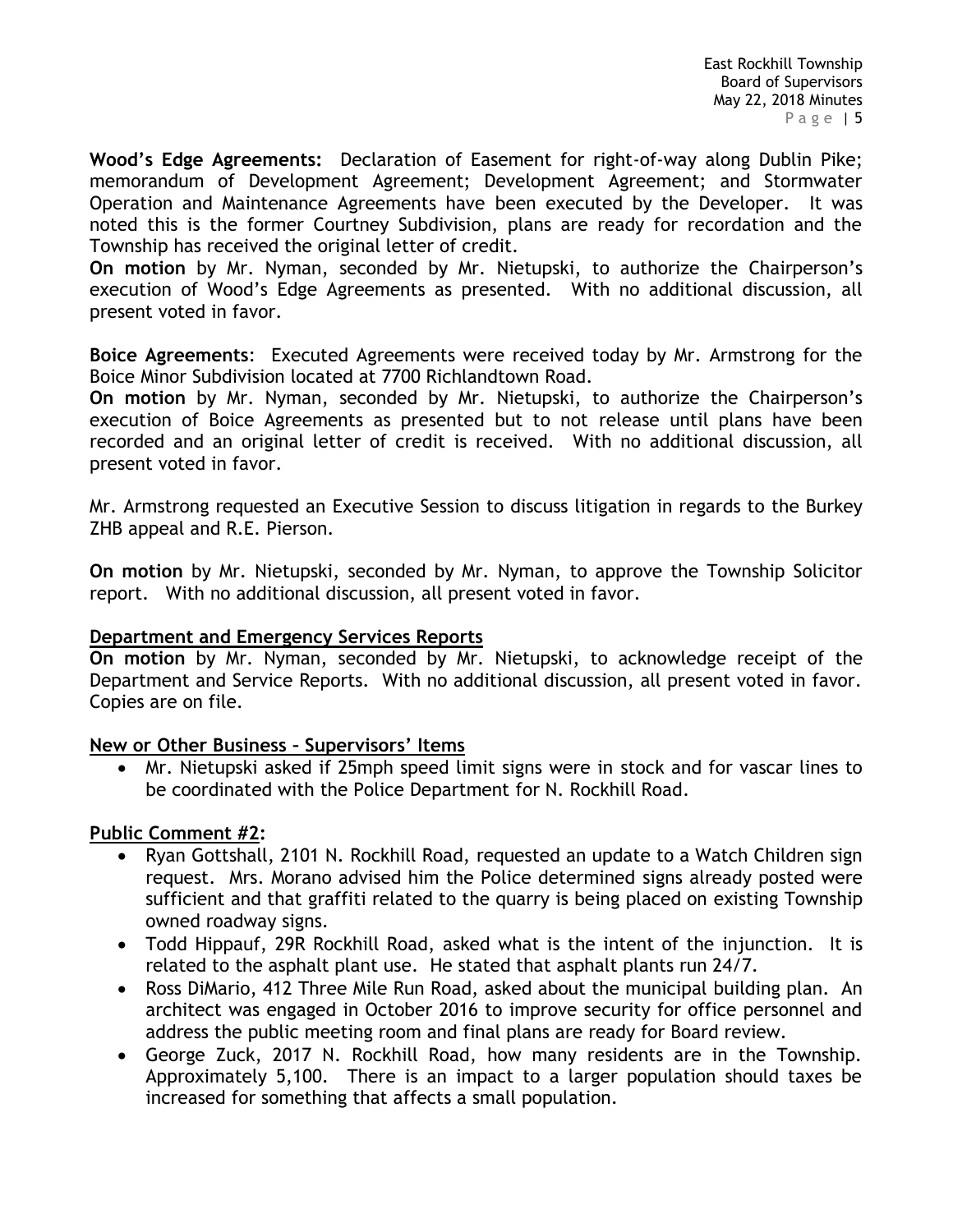**Wood's Edge Agreements:** Declaration of Easement for right-of-way along Dublin Pike; memorandum of Development Agreement; Development Agreement; and Stormwater Operation and Maintenance Agreements have been executed by the Developer. It was noted this is the former Courtney Subdivision, plans are ready for recordation and the Township has received the original letter of credit.

**On motion** by Mr. Nyman, seconded by Mr. Nietupski, to authorize the Chairperson's execution of Wood's Edge Agreements as presented. With no additional discussion, all present voted in favor.

**Boice Agreements**: Executed Agreements were received today by Mr. Armstrong for the Boice Minor Subdivision located at 7700 Richlandtown Road.

**On motion** by Mr. Nyman, seconded by Mr. Nietupski, to authorize the Chairperson's execution of Boice Agreements as presented but to not release until plans have been recorded and an original letter of credit is received. With no additional discussion, all present voted in favor.

Mr. Armstrong requested an Executive Session to discuss litigation in regards to the Burkey ZHB appeal and R.E. Pierson.

**On motion** by Mr. Nietupski, seconded by Mr. Nyman, to approve the Township Solicitor report. With no additional discussion, all present voted in favor.

## **Department and Emergency Services Reports**

**On motion** by Mr. Nyman, seconded by Mr. Nietupski, to acknowledge receipt of the Department and Service Reports. With no additional discussion, all present voted in favor. Copies are on file.

## **New or Other Business – Supervisors' Items**

 Mr. Nietupski asked if 25mph speed limit signs were in stock and for vascar lines to be coordinated with the Police Department for N. Rockhill Road.

## **Public Comment #2:**

- Ryan Gottshall, 2101 N. Rockhill Road, requested an update to a Watch Children sign request. Mrs. Morano advised him the Police determined signs already posted were sufficient and that graffiti related to the quarry is being placed on existing Township owned roadway signs.
- Todd Hippauf, 29R Rockhill Road, asked what is the intent of the injunction. It is related to the asphalt plant use. He stated that asphalt plants run 24/7.
- Ross DiMario, 412 Three Mile Run Road, asked about the municipal building plan. An architect was engaged in October 2016 to improve security for office personnel and address the public meeting room and final plans are ready for Board review.
- George Zuck, 2017 N. Rockhill Road, how many residents are in the Township. Approximately 5,100. There is an impact to a larger population should taxes be increased for something that affects a small population.